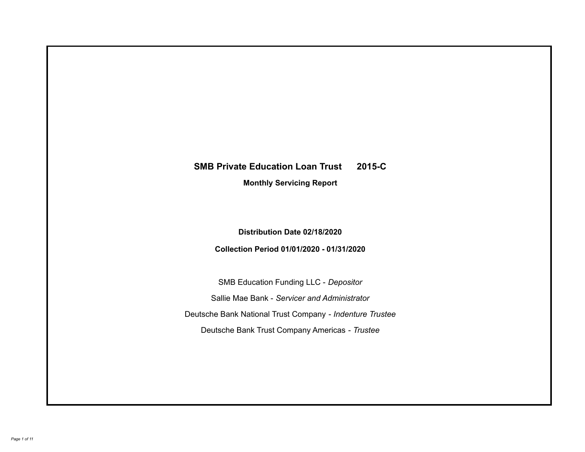# **SMB Private Education Loan Trust 2015-C Monthly Servicing Report**

# **Distribution Date 02/18/2020**

# **Collection Period 01/01/2020 - 01/31/2020**

SMB Education Funding LLC - *Depositor* Sallie Mae Bank - *Servicer and Administrator* Deutsche Bank National Trust Company - *Indenture Trustee* Deutsche Bank Trust Company Americas - *Trustee*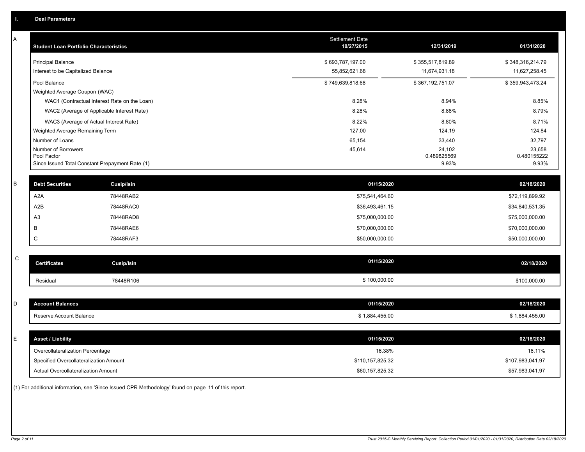| A         | <b>Student Loan Portfolio Characteristics</b>   |                   | Settlement Date<br>10/27/2015 | 12/31/2019       | 01/31/2020       |
|-----------|-------------------------------------------------|-------------------|-------------------------------|------------------|------------------|
|           | <b>Principal Balance</b>                        |                   | \$693,787,197.00              | \$355,517,819.89 | \$348,316,214.79 |
|           | Interest to be Capitalized Balance              |                   | 55,852,621.68                 | 11,674,931.18    | 11,627,258.45    |
|           | Pool Balance                                    |                   | \$749,639,818.68              | \$367,192,751.07 | \$359,943,473.24 |
|           | Weighted Average Coupon (WAC)                   |                   |                               |                  |                  |
|           | WAC1 (Contractual Interest Rate on the Loan)    |                   | 8.28%                         | 8.94%            | 8.85%            |
|           | WAC2 (Average of Applicable Interest Rate)      |                   | 8.28%                         | 8.88%            | 8.79%            |
|           | WAC3 (Average of Actual Interest Rate)          |                   | 8.22%                         | 8.80%            | 8.71%            |
|           | Weighted Average Remaining Term                 |                   | 127.00                        | 124.19           | 124.84           |
|           | Number of Loans<br>Number of Borrowers          |                   | 65,154<br>45,614              | 33,440<br>24,102 | 32,797<br>23,658 |
|           | Pool Factor                                     |                   |                               | 0.489825569      | 0.480155222      |
|           | Since Issued Total Constant Prepayment Rate (1) |                   |                               | 9.93%            | 9.93%            |
| В         | <b>Debt Securities</b>                          | Cusip/Isin        | 01/15/2020                    |                  | 02/18/2020       |
|           | A <sub>2</sub> A                                | 78448RAB2         | \$75,541,464.60               |                  | \$72,119,899.92  |
|           | A2B                                             | 78448RAC0         | \$36,493,461.15               |                  | \$34,840,531.35  |
|           | A <sub>3</sub>                                  | 78448RAD8         | \$75,000,000.00               |                  | \$75,000,000.00  |
|           | В                                               | 78448RAE6         | \$70,000,000.00               |                  | \$70,000,000.00  |
|           | C                                               | 78448RAF3         | \$50,000,000.00               |                  | \$50,000,000.00  |
|           |                                                 |                   |                               |                  |                  |
| ${\rm c}$ | <b>Certificates</b>                             | <b>Cusip/Isin</b> | 01/15/2020                    |                  | 02/18/2020       |
|           | Residual                                        | 78448R106         | \$100,000.00                  |                  | \$100,000.00     |
|           |                                                 |                   |                               |                  |                  |
| D         | <b>Account Balances</b>                         |                   | 01/15/2020                    |                  | 02/18/2020       |
|           | Reserve Account Balance                         |                   | \$1,884,455.00                |                  | \$1,884,455.00   |
|           |                                                 |                   |                               |                  |                  |
| Ε         | <b>Asset / Liability</b>                        |                   | 01/15/2020                    |                  | 02/18/2020       |
|           | Overcollateralization Percentage                |                   | 16.38%                        |                  | 16.11%           |
|           | Specified Overcollateralization Amount          |                   | \$110,157,825.32              |                  | \$107,983,041.97 |
|           | Actual Overcollateralization Amount             |                   | \$60,157,825.32               |                  | \$57,983,041.97  |

(1) For additional information, see 'Since Issued CPR Methodology' found on page 11 of this report.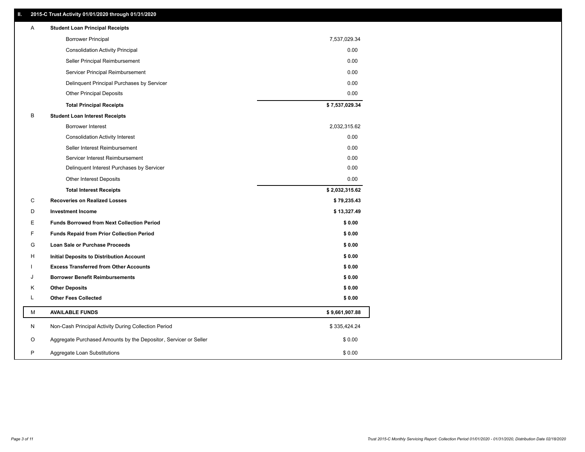### **II. 2015-C Trust Activity 01/01/2020 through 01/31/2020**

| Α | <b>Student Loan Principal Receipts</b>                           |                |
|---|------------------------------------------------------------------|----------------|
|   | <b>Borrower Principal</b>                                        | 7,537,029.34   |
|   | <b>Consolidation Activity Principal</b>                          | 0.00           |
|   | Seller Principal Reimbursement                                   | 0.00           |
|   | Servicer Principal Reimbursement                                 | 0.00           |
|   | Delinquent Principal Purchases by Servicer                       | 0.00           |
|   | <b>Other Principal Deposits</b>                                  | 0.00           |
|   | <b>Total Principal Receipts</b>                                  | \$7,537,029.34 |
| В | <b>Student Loan Interest Receipts</b>                            |                |
|   | <b>Borrower Interest</b>                                         | 2,032,315.62   |
|   | <b>Consolidation Activity Interest</b>                           | 0.00           |
|   | Seller Interest Reimbursement                                    | 0.00           |
|   | Servicer Interest Reimbursement                                  | 0.00           |
|   | Delinquent Interest Purchases by Servicer                        | 0.00           |
|   | Other Interest Deposits                                          | 0.00           |
|   | <b>Total Interest Receipts</b>                                   | \$2,032,315.62 |
| C | <b>Recoveries on Realized Losses</b>                             | \$79,235.43    |
| D | <b>Investment Income</b>                                         | \$13,327.49    |
| Е | <b>Funds Borrowed from Next Collection Period</b>                | \$0.00         |
| F | <b>Funds Repaid from Prior Collection Period</b>                 | \$0.00         |
| G | <b>Loan Sale or Purchase Proceeds</b>                            | \$0.00         |
| н | Initial Deposits to Distribution Account                         | \$0.00         |
|   | <b>Excess Transferred from Other Accounts</b>                    | \$0.00         |
| J | <b>Borrower Benefit Reimbursements</b>                           | \$0.00         |
| Κ | <b>Other Deposits</b>                                            | \$0.00         |
| L | <b>Other Fees Collected</b>                                      | \$0.00         |
| M | <b>AVAILABLE FUNDS</b>                                           | \$9,661,907.88 |
| N | Non-Cash Principal Activity During Collection Period             | \$335,424.24   |
| O | Aggregate Purchased Amounts by the Depositor, Servicer or Seller | \$0.00         |
| P | Aggregate Loan Substitutions                                     | \$0.00         |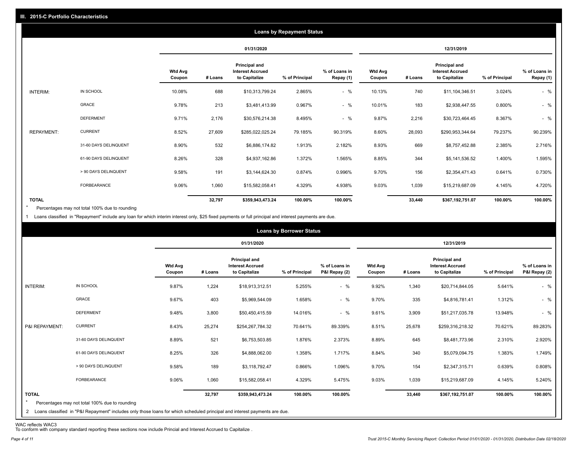|                   |                       |                          |         |                                                                  | <b>Loans by Repayment Status</b> |                            |                          |         |                                                           |                |                            |
|-------------------|-----------------------|--------------------------|---------|------------------------------------------------------------------|----------------------------------|----------------------------|--------------------------|---------|-----------------------------------------------------------|----------------|----------------------------|
|                   |                       |                          |         | 01/31/2020                                                       |                                  |                            |                          |         | 12/31/2019                                                |                |                            |
|                   |                       | <b>Wtd Avg</b><br>Coupon | # Loans | <b>Principal and</b><br><b>Interest Accrued</b><br>to Capitalize | % of Principal                   | % of Loans in<br>Repay (1) | <b>Wtd Avg</b><br>Coupon | # Loans | Principal and<br><b>Interest Accrued</b><br>to Capitalize | % of Principal | % of Loans in<br>Repay (1) |
| INTERIM:          | IN SCHOOL             | 10.08%                   | 688     | \$10,313,799.24                                                  | 2.865%                           | $-$ %                      | 10.13%                   | 740     | \$11,104,346.51                                           | 3.024%         | $-$ %                      |
|                   | GRACE                 | 9.78%                    | 213     | \$3,481,413.99                                                   | 0.967%                           | $-$ %                      | 10.01%                   | 183     | \$2,938,447.55                                            | 0.800%         | $-$ %                      |
|                   | <b>DEFERMENT</b>      | 9.71%                    | 2,176   | \$30,576,214.38                                                  | 8.495%                           | $-$ %                      | 9.87%                    | 2,216   | \$30,723,464.45                                           | 8.367%         | $-$ %                      |
| <b>REPAYMENT:</b> | <b>CURRENT</b>        | 8.52%                    | 27,609  | \$285,022,025.24                                                 | 79.185%                          | 90.319%                    | 8.60%                    | 28,093  | \$290,953,344.64                                          | 79.237%        | 90.239%                    |
|                   | 31-60 DAYS DELINQUENT | 8.90%                    | 532     | \$6,886,174.82                                                   | 1.913%                           | 2.182%                     | 8.93%                    | 669     | \$8,757,452.88                                            | 2.385%         | 2.716%                     |
|                   | 61-90 DAYS DELINQUENT | 8.26%                    | 328     | \$4,937,162.86                                                   | 1.372%                           | 1.565%                     | 8.85%                    | 344     | \$5,141,536.52                                            | 1.400%         | 1.595%                     |
|                   | > 90 DAYS DELINQUENT  | 9.58%                    | 191     | \$3,144,624.30                                                   | 0.874%                           | 0.996%                     | 9.70%                    | 156     | \$2,354,471.43                                            | 0.641%         | 0.730%                     |
|                   | <b>FORBEARANCE</b>    | 9.06%                    | 1,060   | \$15,582,058.41                                                  | 4.329%                           | 4.938%                     | 9.03%                    | 1,039   | \$15,219,687.09                                           | 4.145%         | 4.720%                     |
| <b>TOTAL</b>      |                       |                          | 32,797  | \$359,943,473.24                                                 | 100.00%                          | 100.00%                    |                          | 33,440  | \$367,192,751.07                                          | 100.00%        | 100.00%                    |

Percentages may not total 100% due to rounding \*

1 Loans classified in "Repayment" include any loan for which interim interest only, \$25 fixed payments or full principal and interest payments are due.

|                         |                                                                                                                                                                                |                          |         |                                                           | <b>Loans by Borrower Status</b> |                                |                          |         |                                                                  |                |                                |
|-------------------------|--------------------------------------------------------------------------------------------------------------------------------------------------------------------------------|--------------------------|---------|-----------------------------------------------------------|---------------------------------|--------------------------------|--------------------------|---------|------------------------------------------------------------------|----------------|--------------------------------|
|                         |                                                                                                                                                                                |                          |         | 01/31/2020                                                |                                 |                                |                          |         | 12/31/2019                                                       |                |                                |
|                         |                                                                                                                                                                                | <b>Wtd Avg</b><br>Coupon | # Loans | Principal and<br><b>Interest Accrued</b><br>to Capitalize | % of Principal                  | % of Loans in<br>P&I Repay (2) | <b>Wtd Avg</b><br>Coupon | # Loans | <b>Principal and</b><br><b>Interest Accrued</b><br>to Capitalize | % of Principal | % of Loans in<br>P&I Repay (2) |
| INTERIM:                | IN SCHOOL                                                                                                                                                                      | 9.87%                    | 1,224   | \$18,913,312.51                                           | 5.255%                          | $-$ %                          | 9.92%                    | 1,340   | \$20,714,844.05                                                  | 5.641%         | $-$ %                          |
|                         | GRACE                                                                                                                                                                          | 9.67%                    | 403     | \$5,969,544.09                                            | 1.658%                          | $-$ %                          | 9.70%                    | 335     | \$4,816,781.41                                                   | 1.312%         | $-$ %                          |
|                         | <b>DEFERMENT</b>                                                                                                                                                               | 9.48%                    | 3,800   | \$50,450,415.59                                           | 14.016%                         | $-$ %                          | 9.61%                    | 3,909   | \$51,217,035.78                                                  | 13.948%        | $-$ %                          |
| P&I REPAYMENT:          | <b>CURRENT</b>                                                                                                                                                                 | 8.43%                    | 25,274  | \$254,267,784.32                                          | 70.641%                         | 89.339%                        | 8.51%                    | 25,678  | \$259,316,218.32                                                 | 70.621%        | 89.283%                        |
|                         | 31-60 DAYS DELINQUENT                                                                                                                                                          | 8.89%                    | 521     | \$6,753,503.85                                            | 1.876%                          | 2.373%                         | 8.89%                    | 645     | \$8,481,773.96                                                   | 2.310%         | 2.920%                         |
|                         | 61-90 DAYS DELINQUENT                                                                                                                                                          | 8.25%                    | 326     | \$4,888,062.00                                            | 1.358%                          | 1.717%                         | 8.84%                    | 340     | \$5,079,094.75                                                   | 1.383%         | 1.749%                         |
|                         | > 90 DAYS DELINQUENT                                                                                                                                                           | 9.58%                    | 189     | \$3,118,792.47                                            | 0.866%                          | 1.096%                         | 9.70%                    | 154     | \$2,347,315.71                                                   | 0.639%         | 0.808%                         |
|                         | FORBEARANCE                                                                                                                                                                    | 9.06%                    | 1,060   | \$15,582,058.41                                           | 4.329%                          | 5.475%                         | 9.03%                    | 1,039   | \$15,219,687.09                                                  | 4.145%         | 5.240%                         |
| <b>TOTAL</b><br>$\star$ | Percentages may not total 100% due to rounding<br>2 Loans classified in "P&I Repayment" includes only those loans for which scheduled principal and interest payments are due. |                          | 32,797  | \$359,943,473.24                                          | 100.00%                         | 100.00%                        |                          | 33,440  | \$367,192,751.07                                                 | 100.00%        | 100.00%                        |

WAC reflects WAC3 To conform with company standard reporting these sections now include Princial and Interest Accrued to Capitalize .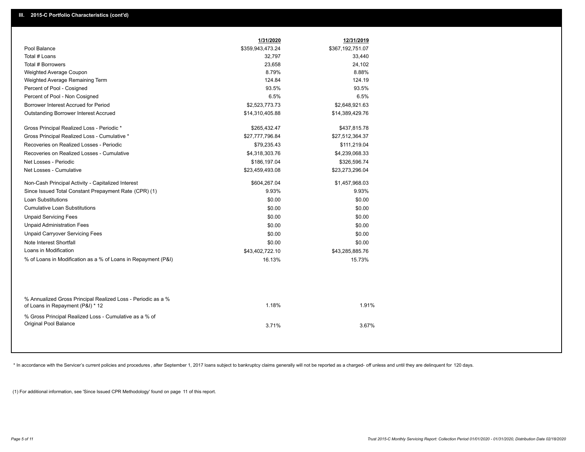|                                                                                                  | 1/31/2020        | 12/31/2019       |  |
|--------------------------------------------------------------------------------------------------|------------------|------------------|--|
| Pool Balance                                                                                     | \$359,943,473.24 | \$367,192,751.07 |  |
| Total # Loans                                                                                    | 32,797           | 33,440           |  |
| Total # Borrowers                                                                                | 23,658           | 24,102           |  |
| Weighted Average Coupon                                                                          | 8.79%            | 8.88%            |  |
| Weighted Average Remaining Term                                                                  | 124.84           | 124.19           |  |
| Percent of Pool - Cosigned                                                                       | 93.5%            | 93.5%            |  |
| Percent of Pool - Non Cosigned                                                                   | 6.5%             | 6.5%             |  |
| Borrower Interest Accrued for Period                                                             | \$2,523,773.73   | \$2,648,921.63   |  |
| Outstanding Borrower Interest Accrued                                                            | \$14,310,405.88  | \$14,389,429.76  |  |
| Gross Principal Realized Loss - Periodic *                                                       | \$265,432.47     | \$437,815.78     |  |
| Gross Principal Realized Loss - Cumulative *                                                     | \$27,777,796.84  | \$27,512,364.37  |  |
| Recoveries on Realized Losses - Periodic                                                         | \$79,235.43      | \$111,219.04     |  |
| Recoveries on Realized Losses - Cumulative                                                       | \$4,318,303.76   | \$4,239,068.33   |  |
| Net Losses - Periodic                                                                            | \$186,197.04     | \$326,596.74     |  |
| Net Losses - Cumulative                                                                          | \$23,459,493.08  | \$23,273,296.04  |  |
| Non-Cash Principal Activity - Capitalized Interest                                               | \$604,267.04     | \$1,457,968.03   |  |
| Since Issued Total Constant Prepayment Rate (CPR) (1)                                            | 9.93%            | 9.93%            |  |
| <b>Loan Substitutions</b>                                                                        | \$0.00           | \$0.00           |  |
| <b>Cumulative Loan Substitutions</b>                                                             | \$0.00           | \$0.00           |  |
| <b>Unpaid Servicing Fees</b>                                                                     | \$0.00           | \$0.00           |  |
| <b>Unpaid Administration Fees</b>                                                                | \$0.00           | \$0.00           |  |
| <b>Unpaid Carryover Servicing Fees</b>                                                           | \$0.00           | \$0.00           |  |
| Note Interest Shortfall                                                                          | \$0.00           | \$0.00           |  |
| Loans in Modification                                                                            | \$43,402,722.10  | \$43,285,885.76  |  |
| % of Loans in Modification as a % of Loans in Repayment (P&I)                                    | 16.13%           | 15.73%           |  |
|                                                                                                  |                  |                  |  |
| % Annualized Gross Principal Realized Loss - Periodic as a %<br>of Loans in Repayment (P&I) * 12 | 1.18%            | 1.91%            |  |
| % Gross Principal Realized Loss - Cumulative as a % of<br>Original Pool Balance                  | 3.71%            | 3.67%            |  |

\* In accordance with the Servicer's current policies and procedures, after September 1, 2017 loans subject to bankruptcy claims generally will not be reported as a charged- off unless and until they are delinquent for 120

(1) For additional information, see 'Since Issued CPR Methodology' found on page 11 of this report.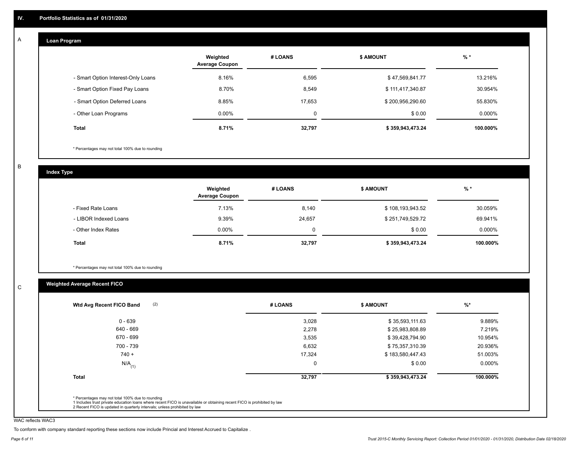#### **Loan Program**  A

|                                    | Weighted<br><b>Average Coupon</b> | # LOANS     | <b>\$ AMOUNT</b> | $%$ *    |
|------------------------------------|-----------------------------------|-------------|------------------|----------|
| - Smart Option Interest-Only Loans | 8.16%                             | 6,595       | \$47,569,841.77  | 13.216%  |
| - Smart Option Fixed Pay Loans     | 8.70%                             | 8,549       | \$111,417,340.87 | 30.954%  |
| - Smart Option Deferred Loans      | 8.85%                             | 17.653      | \$200,956,290.60 | 55.830%  |
| - Other Loan Programs              | $0.00\%$                          | $\mathbf 0$ | \$0.00           | 0.000%   |
| <b>Total</b>                       | 8.71%                             | 32,797      | \$359,943,473.24 | 100.000% |

\* Percentages may not total 100% due to rounding

B

C

**Index Type**

|                       | Weighted<br><b>Average Coupon</b> | # LOANS | <b>\$ AMOUNT</b> | $%$ *    |
|-----------------------|-----------------------------------|---------|------------------|----------|
| - Fixed Rate Loans    | 7.13%                             | 8,140   | \$108,193,943.52 | 30.059%  |
| - LIBOR Indexed Loans | 9.39%                             | 24,657  | \$251,749,529.72 | 69.941%  |
| - Other Index Rates   | $0.00\%$                          |         | \$0.00           | 0.000%   |
| Total                 | 8.71%                             | 32,797  | \$359,943,473.24 | 100.000% |

\* Percentages may not total 100% due to rounding

# **Weighted Average Recent FICO**

| 3,028<br>2,278 | \$35,593,111.63<br>\$25,983,808.89 | 9.889%    |
|----------------|------------------------------------|-----------|
|                |                                    |           |
|                |                                    | 7.219%    |
| 3,535          | \$39,428,794.90                    | 10.954%   |
| 6,632          | \$75,357,310.39                    | 20.936%   |
| 17,324         | \$183,580,447.43                   | 51.003%   |
| 0              | \$0.00                             | $0.000\%$ |
| 32,797         | \$359,943,473.24                   | 100.000%  |
|                |                                    |           |

WAC reflects WAC3

To conform with company standard reporting these sections now include Princial and Interest Accrued to Capitalize .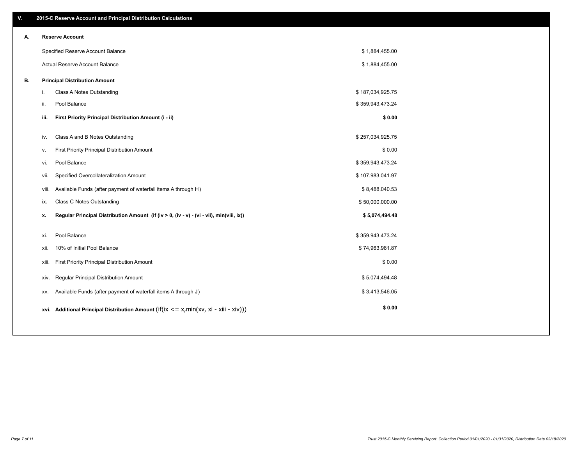| V. |     | 2015-C Reserve Account and Principal Distribution Calculations                             |                  |  |
|----|-----|--------------------------------------------------------------------------------------------|------------------|--|
| А. |     | <b>Reserve Account</b>                                                                     |                  |  |
|    |     | Specified Reserve Account Balance                                                          | \$1,884,455.00   |  |
|    |     | Actual Reserve Account Balance                                                             | \$1,884,455.00   |  |
| В. |     | <b>Principal Distribution Amount</b>                                                       |                  |  |
|    | i.  | Class A Notes Outstanding                                                                  | \$187,034,925.75 |  |
|    | ji. | Pool Balance                                                                               | \$359,943,473.24 |  |
|    |     | First Priority Principal Distribution Amount (i - ii)<br>iii.                              | \$0.00           |  |
|    | iv. | Class A and B Notes Outstanding                                                            | \$257,034,925.75 |  |
|    | v.  | First Priority Principal Distribution Amount                                               | \$0.00           |  |
|    |     | Pool Balance<br>vi.                                                                        | \$359,943,473.24 |  |
|    |     | Specified Overcollateralization Amount<br>vii.                                             | \$107,983,041.97 |  |
|    |     | Available Funds (after payment of waterfall items A through H)<br>viii.                    | \$8,488,040.53   |  |
|    | ix. | <b>Class C Notes Outstanding</b>                                                           | \$50,000,000.00  |  |
|    | х.  | Regular Principal Distribution Amount (if (iv > 0, (iv - v) - (vi - vii), min(viii, ix))   | \$5,074,494.48   |  |
|    |     |                                                                                            |                  |  |
|    | xi. | Pool Balance                                                                               | \$359,943,473.24 |  |
|    |     | 10% of Initial Pool Balance<br>xii.                                                        | \$74,963,981.87  |  |
|    |     | First Priority Principal Distribution Amount<br>xiii.                                      | \$0.00           |  |
|    |     | Regular Principal Distribution Amount<br>XIV.                                              | \$5,074,494.48   |  |
|    |     | Available Funds (after payment of waterfall items A through J)<br>XV.                      | \$3,413,546.05   |  |
|    |     | xvi. Additional Principal Distribution Amount (if(ix $\lt$ = x, min(xv, xi - xiii - xiv))) | \$0.00           |  |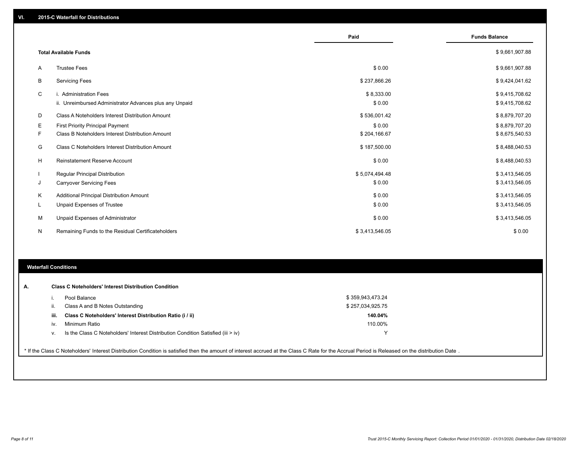|    |                                                         | Paid           | <b>Funds Balance</b> |
|----|---------------------------------------------------------|----------------|----------------------|
|    | <b>Total Available Funds</b>                            |                | \$9,661,907.88       |
| A  | <b>Trustee Fees</b>                                     | \$0.00         | \$9,661,907.88       |
| В  | <b>Servicing Fees</b>                                   | \$237,866.26   | \$9,424,041.62       |
| C  | i. Administration Fees                                  | \$8,333.00     | \$9,415,708.62       |
|    | ii. Unreimbursed Administrator Advances plus any Unpaid | \$0.00         | \$9,415,708.62       |
| D  | Class A Noteholders Interest Distribution Amount        | \$536,001.42   | \$8,879,707.20       |
| Е  | First Priority Principal Payment                        | \$0.00         | \$8,879,707.20       |
| F. | Class B Noteholders Interest Distribution Amount        | \$204,166.67   | \$8,675,540.53       |
| G  | Class C Noteholders Interest Distribution Amount        | \$187,500.00   | \$8,488,040.53       |
| н  | <b>Reinstatement Reserve Account</b>                    | \$0.00         | \$8,488,040.53       |
|    | Regular Principal Distribution                          | \$5,074,494.48 | \$3,413,546.05       |
| J  | <b>Carryover Servicing Fees</b>                         | \$0.00         | \$3,413,546.05       |
| Κ  | Additional Principal Distribution Amount                | \$0.00         | \$3,413,546.05       |
| L  | Unpaid Expenses of Trustee                              | \$0.00         | \$3,413,546.05       |
| М  | Unpaid Expenses of Administrator                        | \$0.00         | \$3,413,546.05       |
| N  | Remaining Funds to the Residual Certificateholders      | \$3,413,546.05 | \$0.00               |

#### **Waterfall Conditions**

|      | Pool Balance                                                                       | \$359,943,473.24 |  |
|------|------------------------------------------------------------------------------------|------------------|--|
|      | Class A and B Notes Outstanding                                                    | \$257,034,925.75 |  |
| iii. | Class C Noteholders' Interest Distribution Ratio (i / ii)                          | 140.04%          |  |
| iv.  | Minimum Ratio                                                                      | 110.00%          |  |
| V.   | Is the Class C Noteholders' Interest Distribution Condition Satisfied (iii $>$ iv) |                  |  |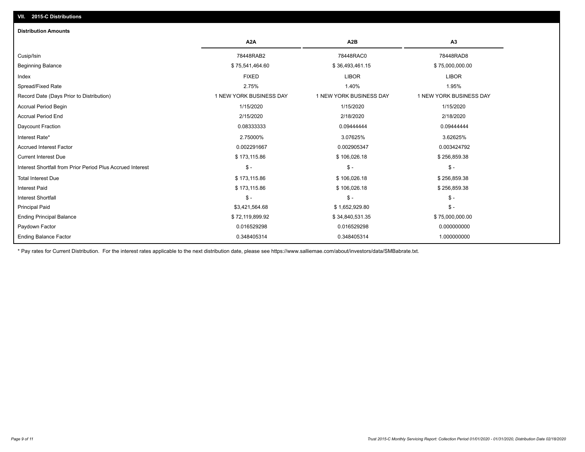## **VII. 2015-C Distributions**

| <b>Distribution Amounts</b>                                |                         |                         |                         |
|------------------------------------------------------------|-------------------------|-------------------------|-------------------------|
|                                                            | A <sub>2</sub> A        | A <sub>2</sub> B        | A <sub>3</sub>          |
| Cusip/Isin                                                 | 78448RAB2               | 78448RAC0               | 78448RAD8               |
| <b>Beginning Balance</b>                                   | \$75,541,464.60         | \$36,493,461.15         | \$75,000,000.00         |
| Index                                                      | <b>FIXED</b>            | <b>LIBOR</b>            | <b>LIBOR</b>            |
| Spread/Fixed Rate                                          | 2.75%                   | 1.40%                   | 1.95%                   |
| Record Date (Days Prior to Distribution)                   | 1 NEW YORK BUSINESS DAY | 1 NEW YORK BUSINESS DAY | 1 NEW YORK BUSINESS DAY |
| <b>Accrual Period Begin</b>                                | 1/15/2020               | 1/15/2020               | 1/15/2020               |
| <b>Accrual Period End</b>                                  | 2/15/2020               | 2/18/2020               | 2/18/2020               |
| <b>Daycount Fraction</b>                                   | 0.08333333              | 0.09444444              | 0.09444444              |
| Interest Rate*                                             | 2.75000%                | 3.07625%                | 3.62625%                |
| <b>Accrued Interest Factor</b>                             | 0.002291667             | 0.002905347             | 0.003424792             |
| <b>Current Interest Due</b>                                | \$173,115.86            | \$106,026.18            | \$256,859.38            |
| Interest Shortfall from Prior Period Plus Accrued Interest | $\mathsf{\$}$ -         | $\mathcal{S}$ -         | $$ -$                   |
| <b>Total Interest Due</b>                                  | \$173,115.86            | \$106,026.18            | \$256,859.38            |
| <b>Interest Paid</b>                                       | \$173,115.86            | \$106,026.18            | \$256,859.38            |
| <b>Interest Shortfall</b>                                  | $$ -$                   | $\mathcal{S}$ -         | $\frac{1}{2}$           |
| <b>Principal Paid</b>                                      | \$3,421,564.68          | \$1,652,929.80          | $$ -$                   |
| <b>Ending Principal Balance</b>                            | \$72,119,899.92         | \$34,840,531.35         | \$75,000,000.00         |
| Paydown Factor                                             | 0.016529298             | 0.016529298             | 0.000000000             |
| <b>Ending Balance Factor</b>                               | 0.348405314             | 0.348405314             | 1.000000000             |

\* Pay rates for Current Distribution. For the interest rates applicable to the next distribution date, please see https://www.salliemae.com/about/investors/data/SMBabrate.txt.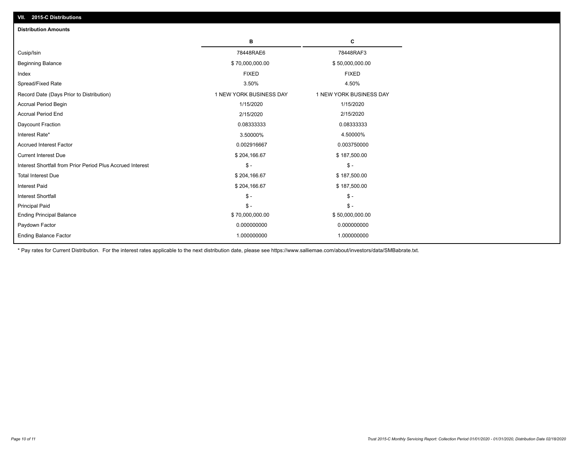| VII. 2015-C Distributions                                  |                         |                         |
|------------------------------------------------------------|-------------------------|-------------------------|
| <b>Distribution Amounts</b>                                |                         |                         |
|                                                            | в                       | C                       |
| Cusip/Isin                                                 | 78448RAE6               | 78448RAF3               |
| <b>Beginning Balance</b>                                   | \$70,000,000.00         | \$50,000,000.00         |
| Index                                                      | <b>FIXED</b>            | <b>FIXED</b>            |
| Spread/Fixed Rate                                          | 3.50%                   | 4.50%                   |
| Record Date (Days Prior to Distribution)                   | 1 NEW YORK BUSINESS DAY | 1 NEW YORK BUSINESS DAY |
| <b>Accrual Period Begin</b>                                | 1/15/2020               | 1/15/2020               |
| <b>Accrual Period End</b>                                  | 2/15/2020               | 2/15/2020               |
| Daycount Fraction                                          | 0.08333333              | 0.08333333              |
| Interest Rate*                                             | 3.50000%                | 4.50000%                |
| <b>Accrued Interest Factor</b>                             | 0.002916667             | 0.003750000             |
| <b>Current Interest Due</b>                                | \$204,166.67            | \$187,500.00            |
| Interest Shortfall from Prior Period Plus Accrued Interest | $\mathsf{\$}$ -         | $\mathsf{\$}$ -         |
| <b>Total Interest Due</b>                                  | \$204,166.67            | \$187,500.00            |
| <b>Interest Paid</b>                                       | \$204,166.67            | \$187,500.00            |
| <b>Interest Shortfall</b>                                  | $\mathcal{S}$ -         | $\mathsf{\$}$ -         |
| <b>Principal Paid</b>                                      | $\mathsf{\$}$ -         | $$ -$                   |
| <b>Ending Principal Balance</b>                            | \$70,000,000.00         | \$50,000,000.00         |
| Paydown Factor                                             | 0.000000000             | 0.000000000             |
| <b>Ending Balance Factor</b>                               | 1.000000000             | 1.000000000             |

\* Pay rates for Current Distribution. For the interest rates applicable to the next distribution date, please see https://www.salliemae.com/about/investors/data/SMBabrate.txt.